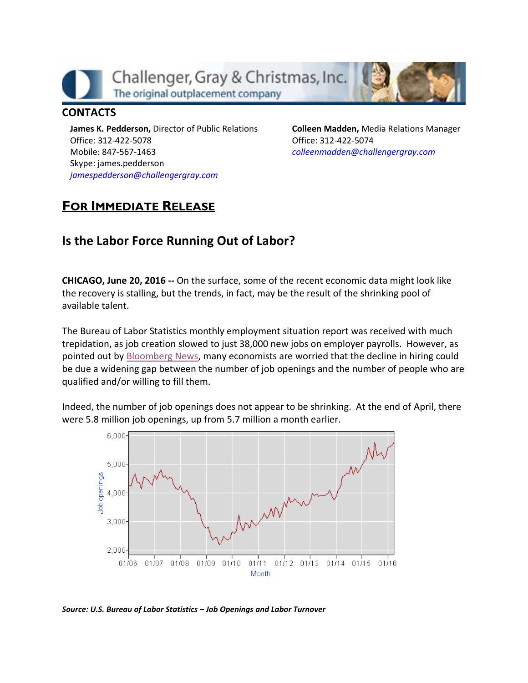

## **CONTACTS**

**James K. Pedderson,** Director of Public Relations Office: 312-422-5078 Mobile: 847-567-1463 Skype: james.pedderson *[jamespedderson@challengergray.com](mailto:jamespedderson@challengergray.com)*

**Colleen Madden,** Media Relations Manager Office: 312-422-5074 *[colleenmadden@challengergray.com](mailto:colleenmadden@challengergray.com)*

## **FOR IMMEDIATE RELEASE**

## **Is the Labor Force Running Out of Labor?**

**CHICAGO, June 20, 2016 --** On the surface, some of the recent economic data might look like the recovery is stalling, but the trends, in fact, may be the result of the shrinking pool of available talent.

The Bureau of Labor Statistics monthly employment situation report was received with much trepidation, as job creation slowed to just 38,000 new jobs on employer payrolls. However, as pointed out by [Bloomberg News,](http://www.bloomberg.com/news/articles/2016-06-08/has-america-run-out-of-workers-to-fill-its-open-jobs) many economists are worried that the decline in hiring could be due a widening gap between the number of job openings and the number of people who are qualified and/or willing to fill them.

Indeed, the number of job openings does not appear to be shrinking. At the end of April, there were 5.8 million job openings, up from 5.7 million a month earlier.



*Source: U.S. Bureau of Labor Statistics – Job Openings and Labor Turnover*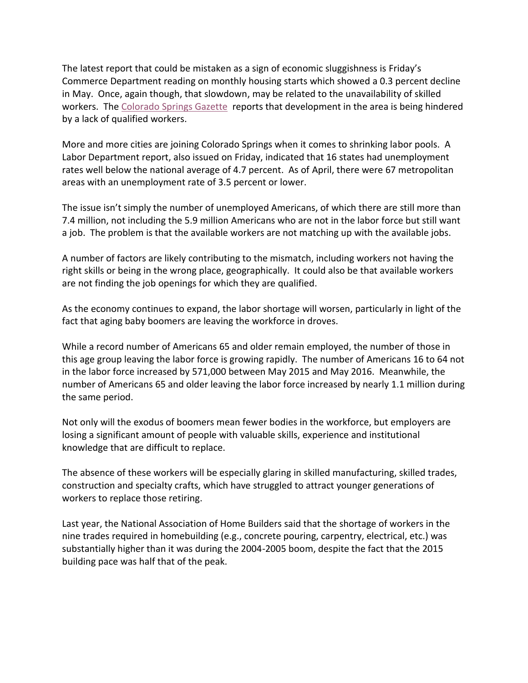The latest report that could be mistaken as a sign of economic sluggishness is Friday's Commerce Department reading on monthly housing starts which showed a 0.3 percent decline in May. Once, again though, that slowdown, may be related to the unavailability of skilled workers. Th[e Colorado Springs Gazette](http://gazette.com/construction-labor-shortage-stymies-colorado-springs-contractors-and-subcontractors/article/1578073) reports that development in the area is being hindered by a lack of qualified workers.

More and more cities are joining Colorado Springs when it comes to shrinking labor pools. A Labor Department report, also issued on Friday, indicated that 16 states had unemployment rates well below the national average of 4.7 percent. As of April, there were 67 metropolitan areas with an unemployment rate of 3.5 percent or lower.

The issue isn't simply the number of unemployed Americans, of which there are still more than 7.4 million, not including the 5.9 million Americans who are not in the labor force but still want a job. The problem is that the available workers are not matching up with the available jobs.

A number of factors are likely contributing to the mismatch, including workers not having the right skills or being in the wrong place, geographically. It could also be that available workers are not finding the job openings for which they are qualified.

As the economy continues to expand, the labor shortage will worsen, particularly in light of the fact that aging baby boomers are leaving the workforce in droves.

While a record number of Americans 65 and older remain employed, the number of those in this age group leaving the labor force is growing rapidly. The number of Americans 16 to 64 not in the labor force increased by 571,000 between May 2015 and May 2016. Meanwhile, the number of Americans 65 and older leaving the labor force increased by nearly 1.1 million during the same period.

Not only will the exodus of boomers mean fewer bodies in the workforce, but employers are losing a significant amount of people with valuable skills, experience and institutional knowledge that are difficult to replace.

The absence of these workers will be especially glaring in skilled manufacturing, skilled trades, construction and specialty crafts, which have struggled to attract younger generations of workers to replace those retiring.

Last year, the National Association of Home Builders said that the shortage of workers in the nine trades required in homebuilding (e.g., concrete pouring, carpentry, electrical, etc.) was substantially higher than it was during the 2004-2005 boom, despite the fact that the 2015 building pace was half that of the peak.